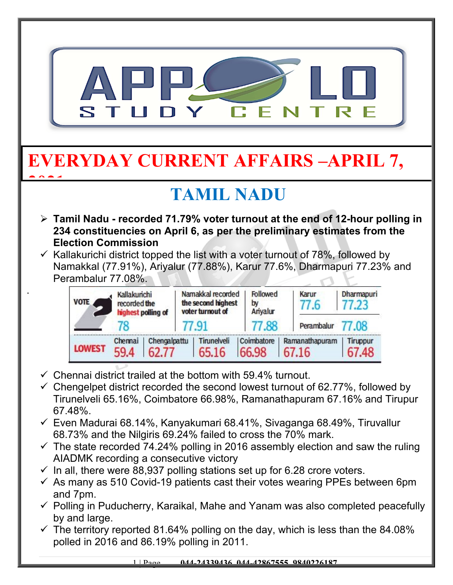

- Tirunelveli 65.16%, Coimbatore 66.98%, Ramanathapuram 67.16% and Tirupur 67.48%.
- $\checkmark$  Even Madurai 68.14%, Kanyakumari 68.41%, Sivaganga 68.49%, Tiruvallur 68.73% and the Nilgiris 69.24% failed to cross the 70% mark.
- $\checkmark$  The state recorded 74.24% polling in 2016 assembly election and saw the ruling AIADMK recording a consecutive victory
- $\checkmark$  In all, there were 88,937 polling stations set up for 6.28 crore voters.
- $\checkmark$  As many as 510 Covid-19 patients cast their votes wearing PPEs between 6pm and 7pm.
- $\checkmark$  Polling in Puducherry, Karaikal, Mahe and Yanam was also completed peacefully by and large.
- $\checkmark$  The territory reported 81.64% polling on the day, which is less than the 84.08% polled in 2016 and 86.19% polling in 2011.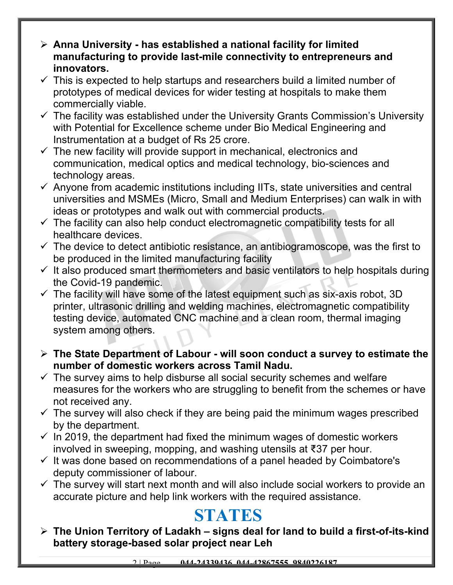- **Anna University has established a national facility for limited manufacturing to provide last-mile connectivity to entrepreneurs and innovators.**
- $\checkmark$  This is expected to help startups and researchers build a limited number of prototypes of medical devices for wider testing at hospitals to make them commercially viable.
- $\checkmark$  The facility was established under the University Grants Commission's University with Potential for Excellence scheme under Bio Medical Engineering and Instrumentation at a budget of Rs 25 crore.
- $\checkmark$  The new facility will provide support in mechanical, electronics and communication, medical optics and medical technology, bio-sciences and technology areas.
- $\checkmark$  Anyone from academic institutions including IITs, state universities and central universities and MSMEs (Micro, Small and Medium Enterprises) can walk in with ideas or prototypes and walk out with commercial products.
- $\checkmark$  The facility can also help conduct electromagnetic compatibility tests for all healthcare devices.
- $\checkmark$  The device to detect antibiotic resistance, an antibiogramoscope, was the first to be produced in the limited manufacturing facility
- $\checkmark$  It also produced smart thermometers and basic ventilators to help hospitals during the Covid-19 pandemic.
- $\checkmark$  The facility will have some of the latest equipment such as six-axis robot, 3D printer, ultrasonic drilling and welding machines, electromagnetic compatibility testing device, automated CNC machine and a clean room, thermal imaging system among others.
- **The State Department of Labour will soon conduct a survey to estimate the number of domestic workers across Tamil Nadu.**
- $\checkmark$  The survey aims to help disburse all social security schemes and welfare measures for the workers who are struggling to benefit from the schemes or have not received any.
- $\checkmark$  The survey will also check if they are being paid the minimum wages prescribed by the department.
- $\checkmark$  In 2019, the department had fixed the minimum wages of domestic workers involved in sweeping, mopping, and washing utensils at ₹37 per hour.
- $\checkmark$  It was done based on recommendations of a panel headed by Coimbatore's deputy commissioner of labour.
- $\checkmark$  The survey will start next month and will also include social workers to provide an accurate picture and help link workers with the required assistance.

### **STATES**

 **The Union Territory of Ladakh – signs deal for land to build a first-of-its-kind battery storage-based solar project near Leh**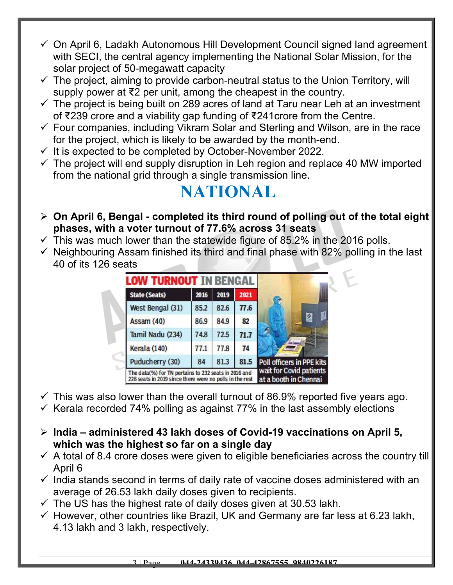- $\checkmark$  On April 6, Ladakh Autonomous Hill Development Council signed land agreement with SECI, the central agency implementing the National Solar Mission, for the solar project of 50-megawatt capacity
- $\checkmark$  The project, aiming to provide carbon-neutral status to the Union Territory, will supply power at ₹2 per unit, among the cheapest in the country.
- $\checkmark$  The project is being built on 289 acres of land at Taru near Leh at an investment of ₹239 crore and a viability gap funding of ₹241crore from the Centre.
- $\checkmark$  Four companies, including Vikram Solar and Sterling and Wilson, are in the race for the project, which is likely to be awarded by the month-end.
- $\checkmark$  It is expected to be completed by October-November 2022.
- $\checkmark$  The project will end supply disruption in Leh region and replace 40 MW imported from the national grid through a single transmission line.

## **NATIONAL**

- **On April 6, Bengal completed its third round of polling out of the total eight phases, with a voter turnout of 77.6% across 31 seats**
- $\checkmark$  This was much lower than the statewide figure of 85.2% in the 2016 polls.
- $\checkmark$  Neighbouring Assam finished its third and final phase with 82% polling in the last 40 of its 126 seats

| <b>State (Seats)</b> | 2016 | 2019 | 2021 |                           |
|----------------------|------|------|------|---------------------------|
| West Bengal (31)     | 85.2 | 82.6 | 77.6 |                           |
| Assam (40)           | 86.9 | 84.9 | 82   |                           |
| Tamil Nadu (234)     | 74.8 | 72.5 | 71.7 |                           |
| Kerala (140)         | 77.1 | 77.8 | 74   |                           |
| Puducherry (30)      | 84   | 81.3 | 81.5 | Poll officers in PPE kits |

- $\checkmark$  This was also lower than the overall turnout of 86.9% reported five years ago.
- $\checkmark$  Kerala recorded 74% polling as against 77% in the last assembly elections
- **India administered 43 lakh doses of Covid-19 vaccinations on April 5, which was the highest so far on a single day**
- $\checkmark$  A total of 8.4 crore doses were given to eligible beneficiaries across the country till April 6
- $\checkmark$  India stands second in terms of daily rate of vaccine doses administered with an average of 26.53 lakh daily doses given to recipients.
- $\checkmark$  The US has the highest rate of daily doses given at 30.53 lakh.
- $\checkmark$  However, other countries like Brazil, UK and Germany are far less at 6.23 lakh, 4.13 lakh and 3 lakh, respectively.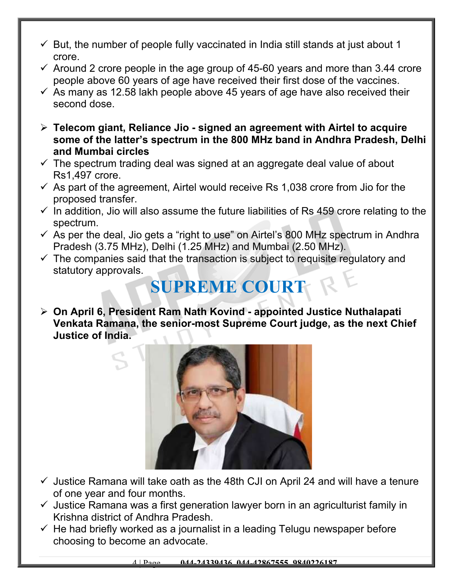- $\checkmark$  But, the number of people fully vaccinated in India still stands at just about 1 crore.
- $\checkmark$  Around 2 crore people in the age group of 45-60 years and more than 3.44 crore people above 60 years of age have received their first dose of the vaccines.
- $\checkmark$  As many as 12.58 lakh people above 45 years of age have also received their second dose.
- **Telecom giant, Reliance Jio signed an agreement with Airtel to acquire some of the latter's spectrum in the 800 MHz band in Andhra Pradesh, Delhi and Mumbai circles**
- $\checkmark$  The spectrum trading deal was signed at an aggregate deal value of about Rs1,497 crore.
- $\checkmark$  As part of the agreement, Airtel would receive Rs 1,038 crore from Jio for the proposed transfer.
- $\checkmark$  In addition, Jio will also assume the future liabilities of Rs 459 crore relating to the spectrum.
- $\checkmark$  As per the deal, Jio gets a "right to use" on Airtel's 800 MHz spectrum in Andhra Pradesh (3.75 MHz), Delhi (1.25 MHz) and Mumbai (2.50 MHz).
- $\checkmark$  The companies said that the transaction is subject to requisite regulatory and statutory approvals.

# **SUPREME COURT**

 **On April 6, President Ram Nath Kovind - appointed Justice Nuthalapati Venkata Ramana, the senior-most Supreme Court judge, as the next Chief Justice of India.** 



- $\checkmark$  Justice Ramana will take oath as the 48th CJI on April 24 and will have a tenure of one year and four months.
- $\checkmark$  Justice Ramana was a first generation lawyer born in an agriculturist family in Krishna district of Andhra Pradesh.
- $\checkmark$  He had briefly worked as a journalist in a leading Telugu newspaper before choosing to become an advocate.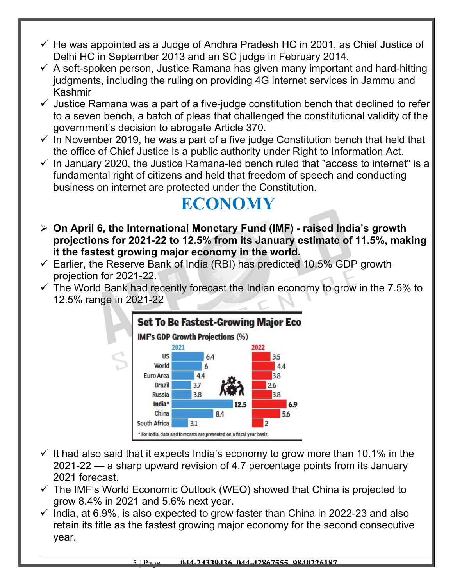- $\checkmark$  He was appointed as a Judge of Andhra Pradesh HC in 2001, as Chief Justice of Delhi HC in September 2013 and an SC judge in February 2014.
- $\checkmark$  A soft-spoken person, Justice Ramana has given many important and hard-hitting judgments, including the ruling on providing 4G internet services in Jammu and Kashmir
- $\checkmark$  Justice Ramana was a part of a five-judge constitution bench that declined to refer to a seven bench, a batch of pleas that challenged the constitutional validity of the government's decision to abrogate Article 370.
- $\checkmark$  In November 2019, he was a part of a five judge Constitution bench that held that the office of Chief Justice is a public authority under Right to Information Act.
- $\checkmark$  In January 2020, the Justice Ramana-led bench ruled that "access to internet" is a fundamental right of citizens and held that freedom of speech and conducting business on internet are protected under the Constitution.

#### **ECONOMY**

- **On April 6, the International Monetary Fund (IMF) raised India's growth projections for 2021-22 to 12.5% from its January estimate of 11.5%, making it the fastest growing major economy in the world.**
- $\checkmark$  Earlier, the Reserve Bank of India (RBI) has predicted 10.5% GDP growth projection for 2021-22.
- $\checkmark$  The World Bank had recently forecast the Indian economy to grow in the 7.5% to 12.5% range in 2021-22



- $\checkmark$  It had also said that it expects India's economy to grow more than 10.1% in the 2021-22 — a sharp upward revision of 4.7 percentage points from its January 2021 forecast.
- $\checkmark$  The IMF's World Economic Outlook (WEO) showed that China is projected to grow 8.4% in 2021 and 5.6% next year.
- $\checkmark$  India, at 6.9%, is also expected to grow faster than China in 2022-23 and also retain its title as the fastest growing major economy for the second consecutive year.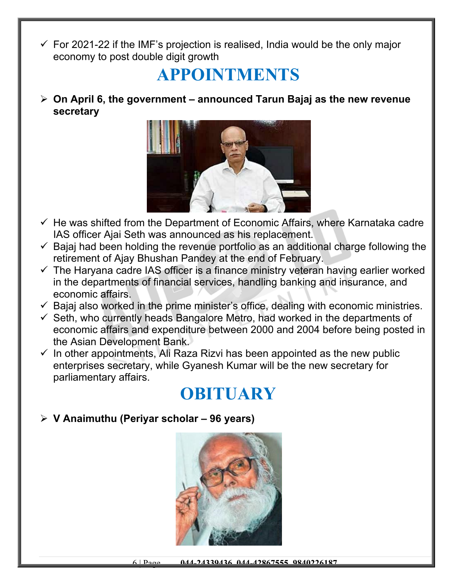$\checkmark$  For 2021-22 if the IMF's projection is realised, India would be the only major economy to post double digit growth

#### **APPOINTMENTS**

 **On April 6, the government – announced Tarun Bajaj as the new revenue secretary**



- $\checkmark$  He was shifted from the Department of Economic Affairs, where Karnataka cadre IAS officer Ajai Seth was announced as his replacement.
- $\checkmark$  Bajaj had been holding the revenue portfolio as an additional charge following the retirement of Ajay Bhushan Pandey at the end of February.
- $\checkmark$  The Haryana cadre IAS officer is a finance ministry veteran having earlier worked in the departments of financial services, handling banking and insurance, and economic affairs.
- $\checkmark$  Bajaj also worked in the prime minister's office, dealing with economic ministries.
- $\checkmark$  Seth, who currently heads Bangalore Metro, had worked in the departments of economic affairs and expenditure between 2000 and 2004 before being posted in the Asian Development Bank.
- $\checkmark$  In other appointments, Ali Raza Rizvi has been appointed as the new public enterprises secretary, while Gyanesh Kumar will be the new secretary for parliamentary affairs.

## **OBITUARY**

**V Anaimuthu (Periyar scholar – 96 years)**

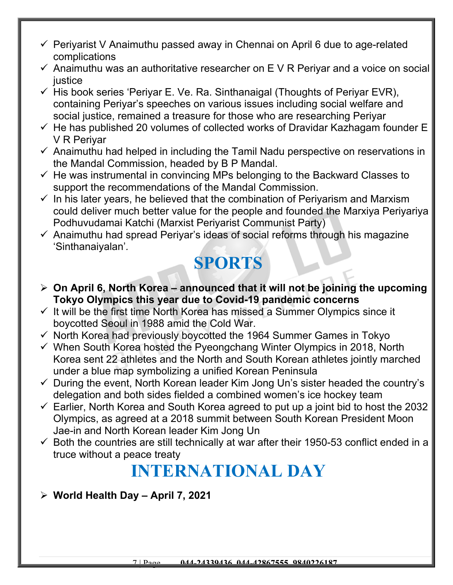- $\checkmark$  Periyarist V Anaimuthu passed away in Chennai on April 6 due to age-related complications
- $\checkmark$  Anaimuthu was an authoritative researcher on E V R Periyar and a voice on social justice
- $\checkmark$  His book series 'Periyar E. Ve. Ra. Sinthanaigal (Thoughts of Periyar EVR), containing Periyar's speeches on various issues including social welfare and social justice, remained a treasure for those who are researching Periyar
- $\checkmark$  He has published 20 volumes of collected works of Dravidar Kazhagam founder E V R Periyar
- $\checkmark$  Anaimuthu had helped in including the Tamil Nadu perspective on reservations in the Mandal Commission, headed by B P Mandal.
- $\checkmark$  He was instrumental in convincing MPs belonging to the Backward Classes to support the recommendations of the Mandal Commission.
- $\checkmark$  In his later years, he believed that the combination of Periyarism and Marxism could deliver much better value for the people and founded the Marxiya Periyariya Podhuvudamai Katchi (Marxist Periyarist Communist Party)
- $\checkmark$  Anaimuthu had spread Periyar's ideas of social reforms through his magazine 'Sinthanaiyalan'*.*

## **SPORTS**

- **On April 6, North Korea announced that it will not be joining the upcoming Tokyo Olympics this year due to Covid-19 pandemic concerns**
- $\checkmark$  It will be the first time North Korea has missed a Summer Olympics since it boycotted Seoul in 1988 amid the Cold War.
- $\checkmark$  North Korea had previously boycotted the 1964 Summer Games in Tokyo
- $\checkmark$  When South Korea hosted the Pyeongchang Winter Olympics in 2018, North Korea sent 22 athletes and the North and South Korean athletes jointly marched under a blue map symbolizing a unified Korean Peninsula
- $\checkmark$  During the event, North Korean leader Kim Jong Un's sister headed the country's delegation and both sides fielded a combined women's ice hockey team
- $\checkmark$  Earlier, North Korea and South Korea agreed to put up a joint bid to host the 2032 Olympics, as agreed at a 2018 summit between South Korean President Moon Jae-in and North Korean leader Kim Jong Un
- $\checkmark$  Both the countries are still technically at war after their 1950-53 conflict ended in a truce without a peace treaty

# **INTERNATIONAL DAY**

**World Health Day – April 7, 2021**